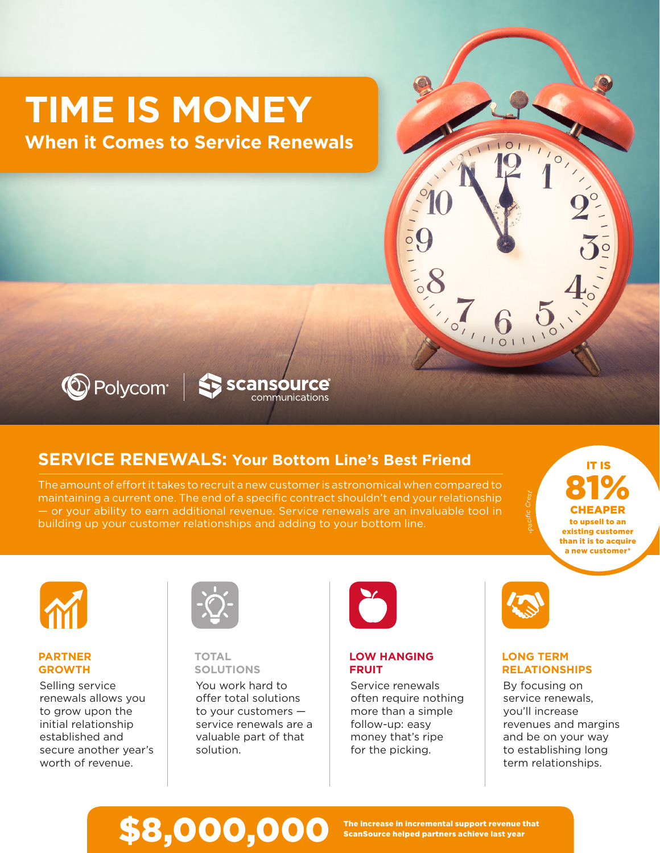# **TIME IS MONEY**

**When it Comes to Service Renewals**



# C Polycom | Sansource communications

# **SERVICE RENEWALS: Your Bottom Line's Best Friend**

The amount of effort it takes to recruit a new customer is astronomical when compared to maintaining a current one. The end of a specific contract shouldn't end your relationship — or your ability to earn additional revenue. Service renewals are an invaluable tool in building up your customer relationships and adding to your bottom line.

81% CHEAPER to upsell to an existing customer than it is to acquire

IT IS

a new customer\*



### **PARTNER GROWTH**

Selling service renewals allows you to grow upon the initial relationship established and secure another year's worth of revenue.



### **TOTAL SOLUTIONS**

You work hard to offer total solutions to your customers service renewals are a valuable part of that solution.



# **LOW HANGING FRUIT**

Service renewals often require nothing more than a simple follow-up: easy money that's ripe for the picking.



## **LONG TERM RELATIONSHIPS**

By focusing on service renewals, you'll increase revenues and margins and be on your way to establishing long term relationships.

# \$8,000,000 The increase in incremental support revenue that<br>S8,000,000 ScanSource helped partners achieve last year

ScanSource helped partners achieve last year